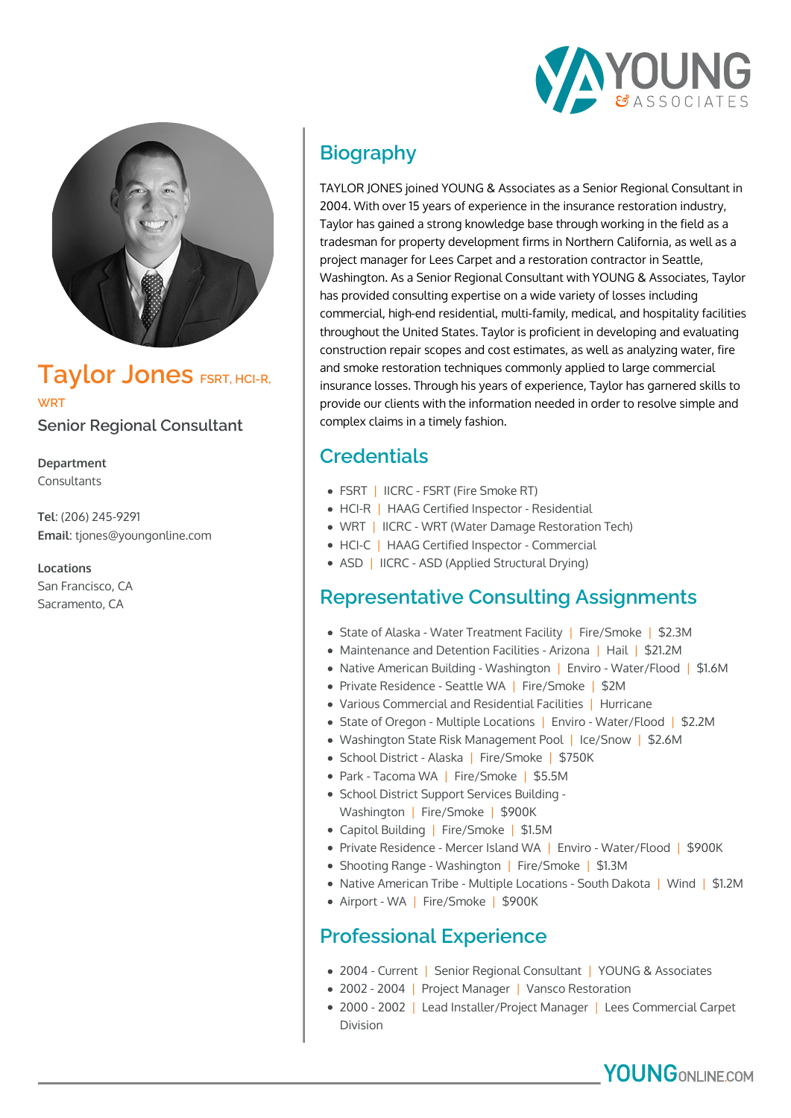



# **Taylor Jones** *FSRT, HCI-R,* **WRT**

**Senior Regional Consultant**

**Department** Consultants

**Tel**: (206) 245-9291 **Email**: tjones@youngonline.com

**Locations** San Francisco, CA Sacramento, CA

## **Biography**

TAYLOR JONES joined YOUNG & Associates as a Senior Regional Consultant in 2004. With over 15 years of experience in the insurance restoration industry, Taylor has gained a strong knowledge base through working in the field as a tradesman for property development firms in Northern California, as well as a project manager for Lees Carpet and a restoration contractor in Seattle, Washington. As a Senior Regional Consultant with YOUNG & Associates, Taylor has provided consulting expertise on a wide variety of losses including commercial, high-end residential, multi-family, medical, and hospitality facilities throughout the United States. Taylor is proficient in developing and evaluating construction repair scopes and cost estimates, as well as analyzing water, fire and smoke restoration techniques commonly applied to large commercial insurance losses. Through his years of experience, Taylor has garnered skills to provide our clients with the information needed in order to resolve simple and complex claims in a timely fashion.

### **Credentials**

- FSRT | IICRC FSRT (Fire Smoke RT)
- HCI-R | HAAG Certified Inspector Residential
- WRT | IICRC WRT (Water Damage Restoration Tech)
- HCI-C | HAAG Certified Inspector Commercial
- ASD | IICRC ASD (Applied Structural Drying)

#### **Representative Consulting Assignments**

- State of Alaska Water Treatment Facility | Fire/Smoke | \$2.3M
- Maintenance and Detention Facilities Arizona | Hail | \$21.2M
- Native American Building Washington | Enviro Water/Flood | \$1.6M
- Private Residence Seattle WA | Fire/Smoke | \$2M
- Various Commercial and Residential Facilities | Hurricane
- State of Oregon Multiple Locations | Enviro Water/Flood | \$2.2M
- Washington State Risk Management Pool | Ice/Snow | \$2.6M
- School District Alaska | Fire/Smoke | \$750K
- Park Tacoma WA | Fire/Smoke | \$5.5M
- School District Support Services Building Washington | Fire/Smoke | \$900K
- Capitol Building | Fire/Smoke | \$1.5M
- Private Residence Mercer Island WA | Enviro Water/Flood | \$900K
- Shooting Range Washington | Fire/Smoke | \$1.3M
- Native American Tribe Multiple Locations South Dakota | Wind | \$1.2M
- Airport WA | Fire/Smoke | \$900K

#### **Professional Experience**

- 2004 Current | Senior Regional Consultant | YOUNG & Associates
- 2002 2004 | Project Manager | Vansco Restoration
- 2000 2002 | Lead Installer/Project Manager | Lees Commercial Carpet Division